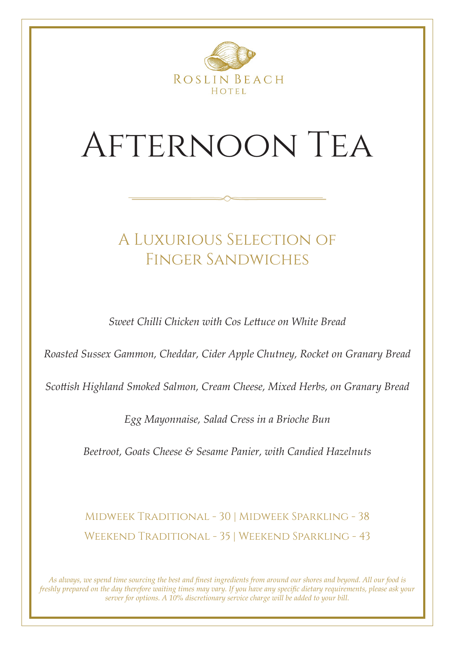

## Afternoon Tea

### A Luxurious Selection of Finger Sandwiches

*Sweet Chilli Chicken with Cos Lettuce on White Bread*

*Roasted Sussex Gammon, Cheddar, Cider Apple Chutney, Rocket on Granary Bread*

*Scottish Highland Smoked Salmon, Cream Cheese, Mixed Herbs, on Granary Bread*

*Egg Mayonnaise, Salad Cress in a Brioche Bun*

*Beetroot, Goats Cheese & Sesame Panier, with Candied Hazelnuts*

Midweek Traditional - 30 | Midweek Sparkling - 38 Weekend Traditional - 35 | Weekend Sparkling - 43

*As always, we spend time sourcing the best and finest ingredients from around our shores and beyond. All our food is freshly prepared on the day therefore waiting times may vary. If you have any specific dietary requirements, please ask your server for options. A 10% discretionary service charge will be added to your bill.*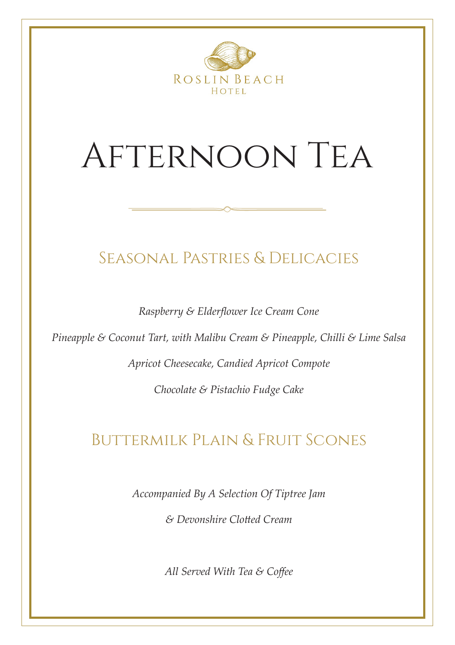

# Afternoon Tea

### Seasonal Pastries & Delicacies

*Raspberry & Elderflower Ice Cream Cone*

*Pineapple & Coconut Tart, with Malibu Cream & Pineapple, Chilli & Lime Salsa*

*Apricot Cheesecake, Candied Apricot Compote*

*Chocolate & Pistachio Fudge Cake*

## Buttermilk Plain & Fruit Scones

*Accompanied By A Selection Of Tiptree Jam* 

*& Devonshire Clotted Cream*

*All Served With Tea & Coffee*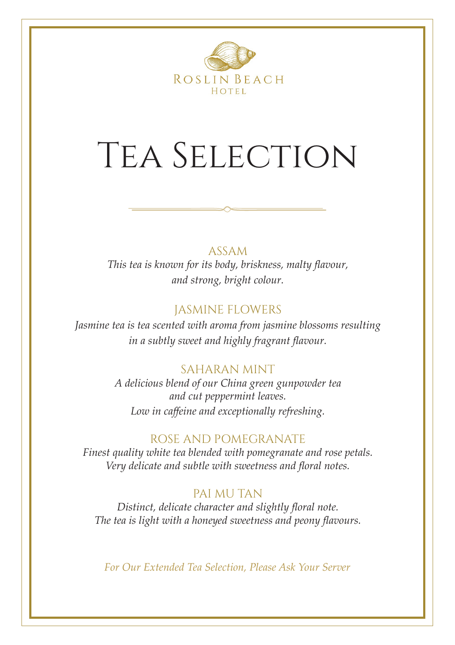

# Tea Selection

### ASSAM

*This tea is known for its body, briskness, malty flavour, and strong, bright colour.* 

### JASMINE FLOWERS

*Jasmine tea is tea scented with aroma from jasmine blossoms resulting in a subtly sweet and highly fragrant flavour.*

### SAHARAN MINT

*A delicious blend of our China green gunpowder tea and cut peppermint leaves. Low in caffeine and exceptionally refreshing.* 

### ROSE AND POMEGRANATE

*Finest quality white tea blended with pomegranate and rose petals. Very delicate and subtle with sweetness and floral notes.*

### PAI MU TAN

*Distinct, delicate character and slightly floral note. The tea is light with a honeyed sweetness and peony flavours.* 

*For Our Extended Tea Selection, Please Ask Your Server*